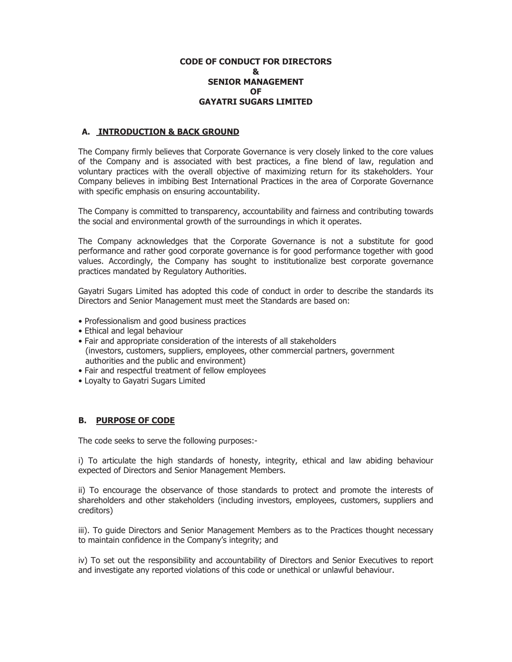### **CODE OF CONDUCT FOR DIRECTORS & SENIOR MANAGEMENT OF GAYATRI SUGARS LIMITED**

## **A. INTRODUCTION & BACK GROUND**

The Company firmly believes that Corporate Governance is very closely linked to the core values of the Company and is associated with best practices, a fine blend of law, regulation and voluntary practices with the overall objective of maximizing return for its stakeholders. Your Company believes in imbibing Best International Practices in the area of Corporate Governance with specific emphasis on ensuring accountability.

The Company is committed to transparency, accountability and fairness and contributing towards the social and environmental growth of the surroundings in which it operates.

The Company acknowledges that the Corporate Governance is not a substitute for good performance and rather good corporate governance is for good performance together with good values. Accordingly, the Company has sought to institutionalize best corporate governance practices mandated by Regulatory Authorities.

Gayatri Sugars Limited has adopted this code of conduct in order to describe the standards its Directors and Senior Management must meet the Standards are based on:

- Professionalism and good business practices
- Ethical and legal behaviour
- Fair and appropriate consideration of the interests of all stakeholders (investors, customers, suppliers, employees, other commercial partners, government authorities and the public and environment)
- Fair and respectful treatment of fellow employees
- Loyalty to Gayatri Sugars Limited

### **B. PURPOSE OF CODE**

The code seeks to serve the following purposes:-

i) To articulate the high standards of honesty, integrity, ethical and law abiding behaviour expected of Directors and Senior Management Members.

ii) To encourage the observance of those standards to protect and promote the interests of shareholders and other stakeholders (including investors, employees, customers, suppliers and creditors)

iii). To guide Directors and Senior Management Members as to the Practices thought necessary to maintain confidence in the Company's integrity; and

iv) To set out the responsibility and accountability of Directors and Senior Executives to report and investigate any reported violations of this code or unethical or unlawful behaviour.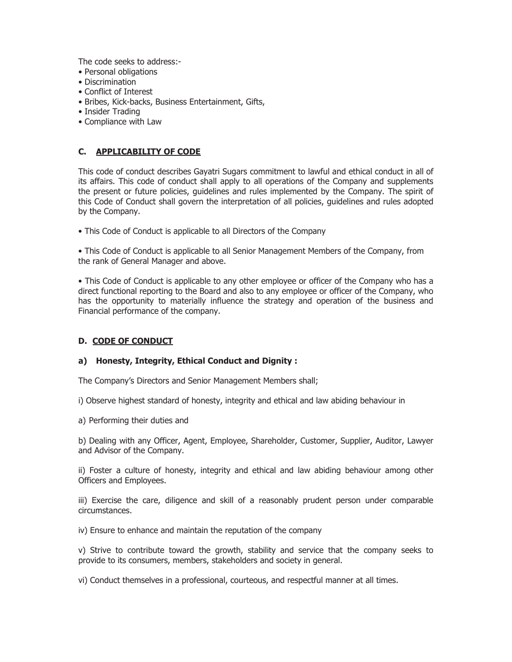The code seeks to address:-

- Personal obligations
- Discrimination
- Conflict of Interest
- Bribes, Kick-backs, Business Entertainment, Gifts,
- Insider Trading
- Compliance with Law

# **C. APPLICABILITY OF CODE**

This code of conduct describes Gayatri Sugars commitment to lawful and ethical conduct in all of its affairs. This code of conduct shall apply to all operations of the Company and supplements the present or future policies, guidelines and rules implemented by the Company. The spirit of this Code of Conduct shall govern the interpretation of all policies, guidelines and rules adopted by the Company.

• This Code of Conduct is applicable to all Directors of the Company

• This Code of Conduct is applicable to all Senior Management Members of the Company, from the rank of General Manager and above.

• This Code of Conduct is applicable to any other employee or officer of the Company who has a direct functional reporting to the Board and also to any employee or officer of the Company, who has the opportunity to materially influence the strategy and operation of the business and Financial performance of the company.

### **D. CODE OF CONDUCT**

### **a) Honesty, Integrity, Ethical Conduct and Dignity :**

The Company's Directors and Senior Management Members shall;

i) Observe highest standard of honesty, integrity and ethical and law abiding behaviour in

a) Performing their duties and

b) Dealing with any Officer, Agent, Employee, Shareholder, Customer, Supplier, Auditor, Lawyer and Advisor of the Company.

ii) Foster a culture of honesty, integrity and ethical and law abiding behaviour among other Officers and Employees.

iii) Exercise the care, diligence and skill of a reasonably prudent person under comparable circumstances.

iv) Ensure to enhance and maintain the reputation of the company

v) Strive to contribute toward the growth, stability and service that the company seeks to provide to its consumers, members, stakeholders and society in general.

vi) Conduct themselves in a professional, courteous, and respectful manner at all times.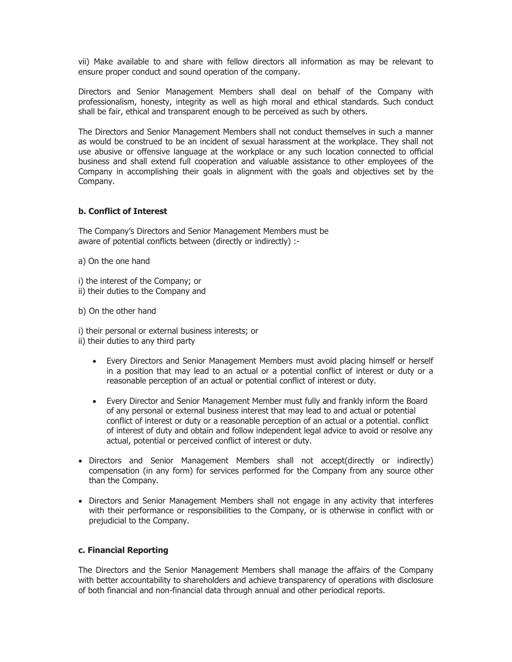vii) Make available to and share with fellow directors all information as may be relevant to ensure proper conduct and sound operation of the company.

Directors and Senior Management Members shall deal on behalf of the Company with professionalism, honesty, integrity as well as high moral and ethical standards. Such conduct shall be fair, ethical and transparent enough to be perceived as such by others.

The Directors and Senior Management Members shall not conduct themselves in such a manner as would be construed to be an incident of sexual harassment at the workplace. They shall not use abusive or offensive language at the workplace or any such location connected to official business and shall extend full cooperation and valuable assistance to other employees of the Company in accomplishing their goals in alignment with the goals and objectives set by the Company.

### **b. Conflict of Interest**

The Company's Directors and Senior Management Members must be aware of potential conflicts between (directly or indirectly) :-

- a) On the one hand
- i) the interest of the Company; or ii) their duties to the Company and
- b) On the other hand

i) their personal or external business interests; or ii) their duties to any third party

- Every Directors and Senior Management Members must avoid placing himself or herself in a position that may lead to an actual or a potential conflict of interest or duty or a reasonable perception of an actual or potential conflict of interest or duty.
- Every Director and Senior Management Member must fully and frankly inform the Board of any personal or external business interest that may lead to and actual or potential conflict of interest or duty or a reasonable perception of an actual or a potential. conflict of interest of duty and obtain and follow independent legal advice to avoid or resolve any actual, potential or perceived conflict of interest or duty.
- Directors and Senior Management Members shall not accept(directly or indirectly) compensation (in any form) for services performed for the Company from any source other than the Company.
- Directors and Senior Management Members shall not engage in any activity that interferes with their performance or responsibilities to the Company, or is otherwise in conflict with or prejudicial to the Company.

#### **c. Financial Reporting**

The Directors and the Senior Management Members shall manage the affairs of the Company with better accountability to shareholders and achieve transparency of operations with disclosure of both financial and non-financial data through annual and other periodical reports.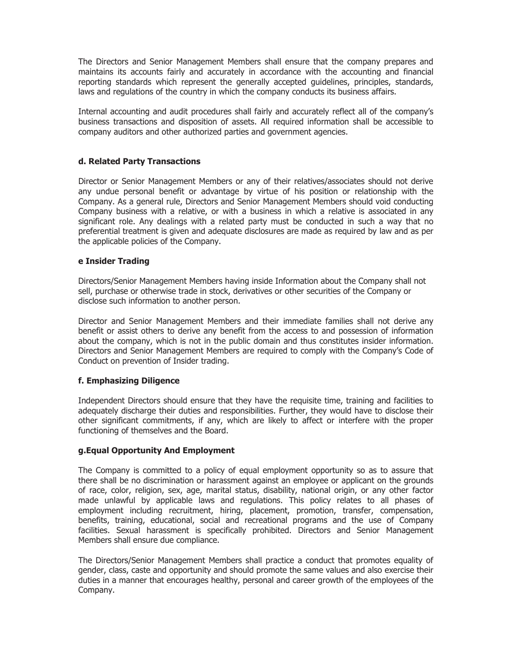The Directors and Senior Management Members shall ensure that the company prepares and maintains its accounts fairly and accurately in accordance with the accounting and financial reporting standards which represent the generally accepted guidelines, principles, standards, laws and regulations of the country in which the company conducts its business affairs.

Internal accounting and audit procedures shall fairly and accurately reflect all of the company's business transactions and disposition of assets. All required information shall be accessible to company auditors and other authorized parties and government agencies.

## **d. Related Party Transactions**

Director or Senior Management Members or any of their relatives/associates should not derive any undue personal benefit or advantage by virtue of his position or relationship with the Company. As a general rule, Directors and Senior Management Members should void conducting Company business with a relative, or with a business in which a relative is associated in any significant role. Any dealings with a related party must be conducted in such a way that no preferential treatment is given and adequate disclosures are made as required by law and as per the applicable policies of the Company.

### **e Insider Trading**

Directors/Senior Management Members having inside Information about the Company shall not sell, purchase or otherwise trade in stock, derivatives or other securities of the Company or disclose such information to another person.

Director and Senior Management Members and their immediate families shall not derive any benefit or assist others to derive any benefit from the access to and possession of information about the company, which is not in the public domain and thus constitutes insider information. Directors and Senior Management Members are required to comply with the Company's Code of Conduct on prevention of Insider trading.

### **f. Emphasizing Diligence**

Independent Directors should ensure that they have the requisite time, training and facilities to adequately discharge their duties and responsibilities. Further, they would have to disclose their other significant commitments, if any, which are likely to affect or interfere with the proper functioning of themselves and the Board.

### **g.Equal Opportunity And Employment**

The Company is committed to a policy of equal employment opportunity so as to assure that there shall be no discrimination or harassment against an employee or applicant on the grounds of race, color, religion, sex, age, marital status, disability, national origin, or any other factor made unlawful by applicable laws and regulations. This policy relates to all phases of employment including recruitment, hiring, placement, promotion, transfer, compensation, benefits, training, educational, social and recreational programs and the use of Company facilities. Sexual harassment is specifically prohibited. Directors and Senior Management Members shall ensure due compliance.

The Directors/Senior Management Members shall practice a conduct that promotes equality of gender, class, caste and opportunity and should promote the same values and also exercise their duties in a manner that encourages healthy, personal and career growth of the employees of the Company.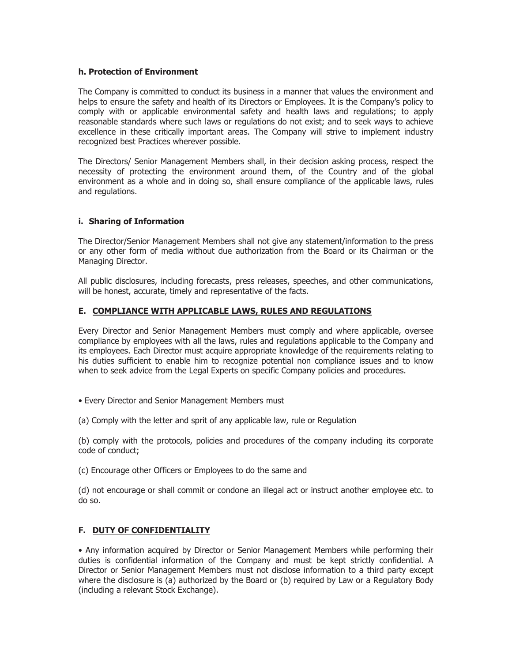### **h. Protection of Environment**

The Company is committed to conduct its business in a manner that values the environment and helps to ensure the safety and health of its Directors or Employees. It is the Company's policy to comply with or applicable environmental safety and health laws and regulations; to apply reasonable standards where such laws or regulations do not exist; and to seek ways to achieve excellence in these critically important areas. The Company will strive to implement industry recognized best Practices wherever possible.

The Directors/ Senior Management Members shall, in their decision asking process, respect the necessity of protecting the environment around them, of the Country and of the global environment as a whole and in doing so, shall ensure compliance of the applicable laws, rules and regulations.

### **i. Sharing of Information**

The Director/Senior Management Members shall not give any statement/information to the press or any other form of media without due authorization from the Board or its Chairman or the Managing Director.

All public disclosures, including forecasts, press releases, speeches, and other communications, will be honest, accurate, timely and representative of the facts.

### **E. COMPLIANCE WITH APPLICABLE LAWS, RULES AND REGULATIONS**

Every Director and Senior Management Members must comply and where applicable, oversee compliance by employees with all the laws, rules and regulations applicable to the Company and its employees. Each Director must acquire appropriate knowledge of the requirements relating to his duties sufficient to enable him to recognize potential non compliance issues and to know when to seek advice from the Legal Experts on specific Company policies and procedures.

- Every Director and Senior Management Members must
- (a) Comply with the letter and sprit of any applicable law, rule or Regulation

(b) comply with the protocols, policies and procedures of the company including its corporate code of conduct;

(c) Encourage other Officers or Employees to do the same and

(d) not encourage or shall commit or condone an illegal act or instruct another employee etc. to do so.

#### **F. DUTY OF CONFIDENTIALITY**

• Any information acquired by Director or Senior Management Members while performing their duties is confidential information of the Company and must be kept strictly confidential. A Director or Senior Management Members must not disclose information to a third party except where the disclosure is (a) authorized by the Board or (b) required by Law or a Regulatory Body (including a relevant Stock Exchange).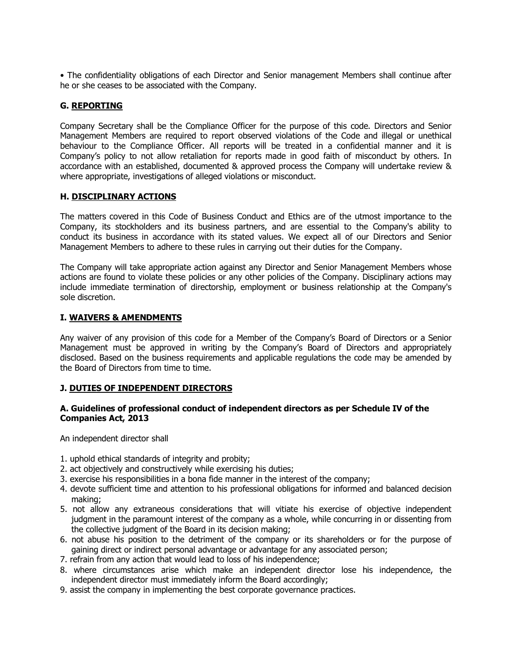• The confidentiality obligations of each Director and Senior management Members shall continue after he or she ceases to be associated with the Company.

## **G. REPORTING**

Company Secretary shall be the Compliance Officer for the purpose of this code. Directors and Senior Management Members are required to report observed violations of the Code and illegal or unethical behaviour to the Compliance Officer. All reports will be treated in a confidential manner and it is Company's policy to not allow retaliation for reports made in good faith of misconduct by others. In accordance with an established, documented & approved process the Company will undertake review & where appropriate, investigations of alleged violations or misconduct.

### **H. DISCIPLINARY ACTIONS**

The matters covered in this Code of Business Conduct and Ethics are of the utmost importance to the Company, its stockholders and its business partners, and are essential to the Company's ability to conduct its business in accordance with its stated values. We expect all of our Directors and Senior Management Members to adhere to these rules in carrying out their duties for the Company.

The Company will take appropriate action against any Director and Senior Management Members whose actions are found to violate these policies or any other policies of the Company. Disciplinary actions may include immediate termination of directorship, employment or business relationship at the Company's sole discretion.

### **I. WAIVERS & AMENDMENTS**

Any waiver of any provision of this code for a Member of the Company's Board of Directors or a Senior Management must be approved in writing by the Company's Board of Directors and appropriately disclosed. Based on the business requirements and applicable regulations the code may be amended by the Board of Directors from time to time.

### **J. DUTIES OF INDEPENDENT DIRECTORS**

### **A. Guidelines of professional conduct of independent directors as per Schedule IV of the Companies Act, 2013**

An independent director shall

- 1. uphold ethical standards of integrity and probity;
- 2. act objectively and constructively while exercising his duties;
- 3. exercise his responsibilities in a bona fide manner in the interest of the company;
- 4. devote sufficient time and attention to his professional obligations for informed and balanced decision making;
- 5. not allow any extraneous considerations that will vitiate his exercise of objective independent judgment in the paramount interest of the company as a whole, while concurring in or dissenting from the collective judgment of the Board in its decision making;
- 6. not abuse his position to the detriment of the company or its shareholders or for the purpose of gaining direct or indirect personal advantage or advantage for any associated person;
- 7. refrain from any action that would lead to loss of his independence;
- 8. where circumstances arise which make an independent director lose his independence, the independent director must immediately inform the Board accordingly;
- 9. assist the company in implementing the best corporate governance practices.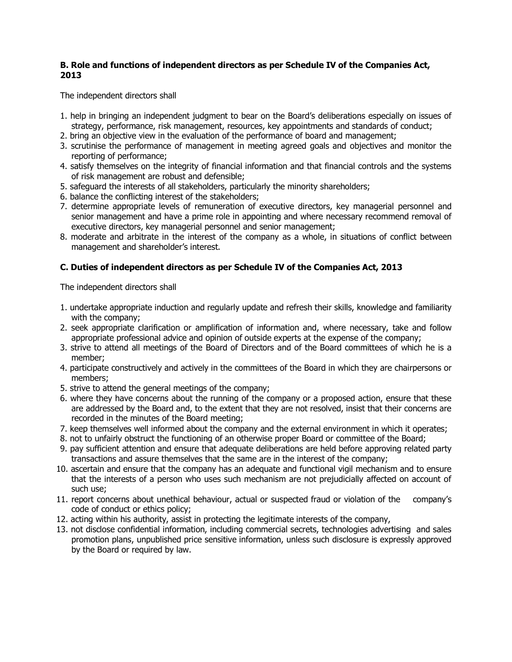# **B. Role and functions of independent directors as per Schedule IV of the Companies Act, 2013**

The independent directors shall

- 1. help in bringing an independent judgment to bear on the Board's deliberations especially on issues of strategy, performance, risk management, resources, key appointments and standards of conduct;
- 2. bring an objective view in the evaluation of the performance of board and management;
- 3. scrutinise the performance of management in meeting agreed goals and objectives and monitor the reporting of performance;
- 4. satisfy themselves on the integrity of financial information and that financial controls and the systems of risk management are robust and defensible;
- 5. safeguard the interests of all stakeholders, particularly the minority shareholders;
- 6. balance the conflicting interest of the stakeholders;
- 7. determine appropriate levels of remuneration of executive directors, key managerial personnel and senior management and have a prime role in appointing and where necessary recommend removal of executive directors, key managerial personnel and senior management;
- 8. moderate and arbitrate in the interest of the company as a whole, in situations of conflict between management and shareholder's interest.

# **C. Duties of independent directors as per Schedule IV of the Companies Act, 2013**

The independent directors shall

- 1. undertake appropriate induction and regularly update and refresh their skills, knowledge and familiarity with the company;
- 2. seek appropriate clarification or amplification of information and, where necessary, take and follow appropriate professional advice and opinion of outside experts at the expense of the company;
- 3. strive to attend all meetings of the Board of Directors and of the Board committees of which he is a member;
- 4. participate constructively and actively in the committees of the Board in which they are chairpersons or members;
- 5. strive to attend the general meetings of the company;
- 6. where they have concerns about the running of the company or a proposed action, ensure that these are addressed by the Board and, to the extent that they are not resolved, insist that their concerns are recorded in the minutes of the Board meeting;
- 7. keep themselves well informed about the company and the external environment in which it operates;
- 8. not to unfairly obstruct the functioning of an otherwise proper Board or committee of the Board;
- 9. pay sufficient attention and ensure that adequate deliberations are held before approving related party transactions and assure themselves that the same are in the interest of the company;
- 10. ascertain and ensure that the company has an adequate and functional vigil mechanism and to ensure that the interests of a person who uses such mechanism are not prejudicially affected on account of such use;
- 11. report concerns about unethical behaviour, actual or suspected fraud or violation of the company's code of conduct or ethics policy;
- 12. acting within his authority, assist in protecting the legitimate interests of the company,
- 13. not disclose confidential information, including commercial secrets, technologies advertising and sales promotion plans, unpublished price sensitive information, unless such disclosure is expressly approved by the Board or required by law.